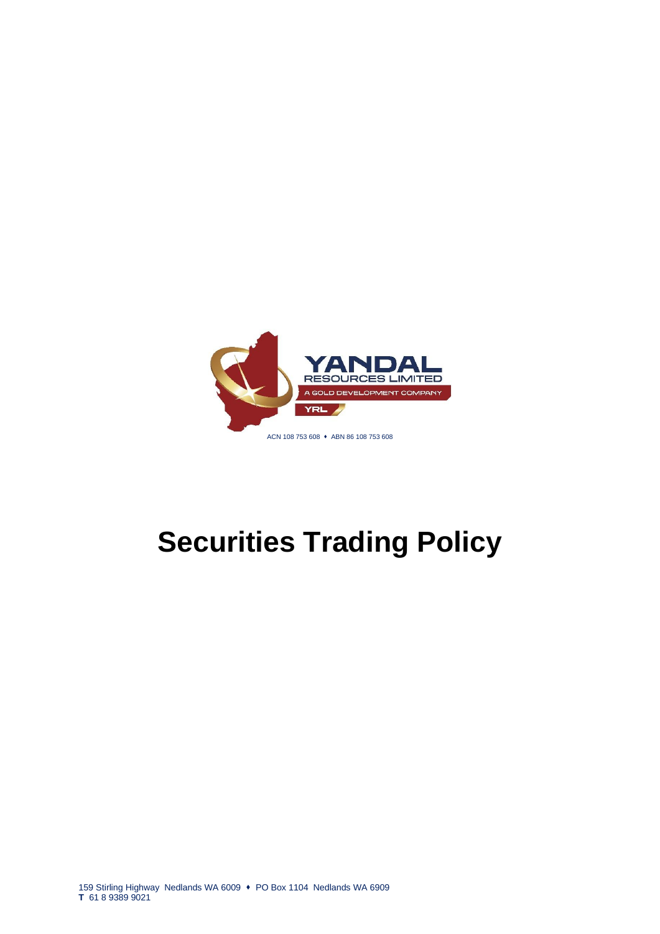

# **Securities Trading Policy**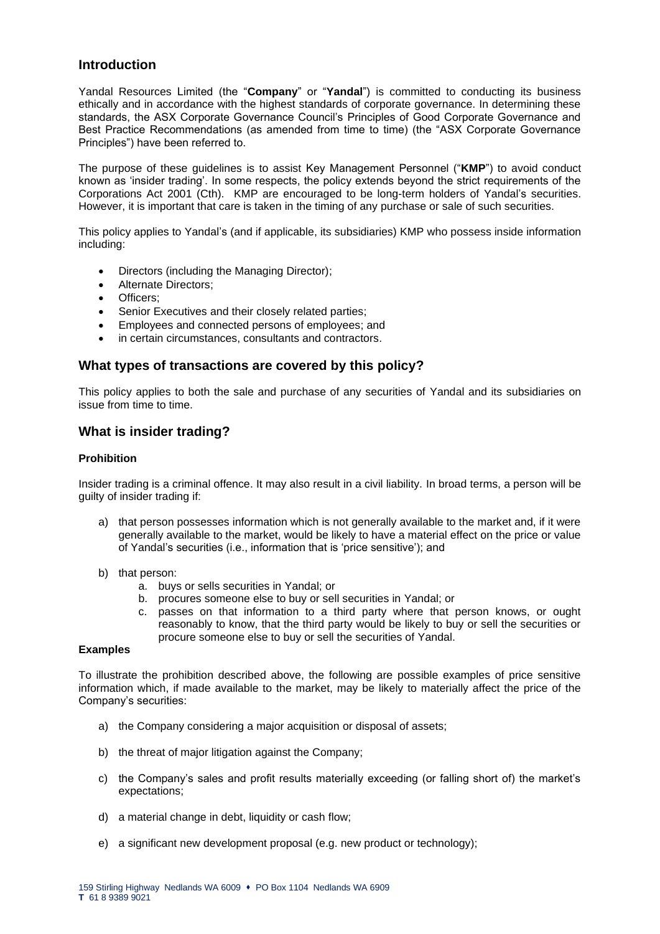# **Introduction**

Yandal Resources Limited (the "**Company**" or "**Yandal**") is committed to conducting its business ethically and in accordance with the highest standards of corporate governance. In determining these standards, the ASX Corporate Governance Council's Principles of Good Corporate Governance and Best Practice Recommendations (as amended from time to time) (the "ASX Corporate Governance Principles") have been referred to.

The purpose of these guidelines is to assist Key Management Personnel ("**KMP**") to avoid conduct known as 'insider trading'. In some respects, the policy extends beyond the strict requirements of the Corporations Act 2001 (Cth). KMP are encouraged to be long-term holders of Yandal's securities. However, it is important that care is taken in the timing of any purchase or sale of such securities.

This policy applies to Yandal's (and if applicable, its subsidiaries) KMP who possess inside information including:

- Directors (including the Managing Director);
- Alternate Directors;
- Officers:
- Senior Executives and their closely related parties:
- Employees and connected persons of employees; and
- in certain circumstances, consultants and contractors.

## **What types of transactions are covered by this policy?**

This policy applies to both the sale and purchase of any securities of Yandal and its subsidiaries on issue from time to time.

## **What is insider trading?**

## **Prohibition**

Insider trading is a criminal offence. It may also result in a civil liability. In broad terms, a person will be guilty of insider trading if:

- a) that person possesses information which is not generally available to the market and, if it were generally available to the market, would be likely to have a material effect on the price or value of Yandal's securities (i.e., information that is 'price sensitive'); and
- b) that person:
	- a. buys or sells securities in Yandal; or
	- b. procures someone else to buy or sell securities in Yandal; or
	- c. passes on that information to a third party where that person knows, or ought reasonably to know, that the third party would be likely to buy or sell the securities or procure someone else to buy or sell the securities of Yandal.

# **Examples**

To illustrate the prohibition described above, the following are possible examples of price sensitive information which, if made available to the market, may be likely to materially affect the price of the Company's securities:

- a) the Company considering a major acquisition or disposal of assets;
- b) the threat of major litigation against the Company:
- c) the Company's sales and profit results materially exceeding (or falling short of) the market's expectations;
- d) a material change in debt, liquidity or cash flow;
- e) a significant new development proposal (e.g. new product or technology);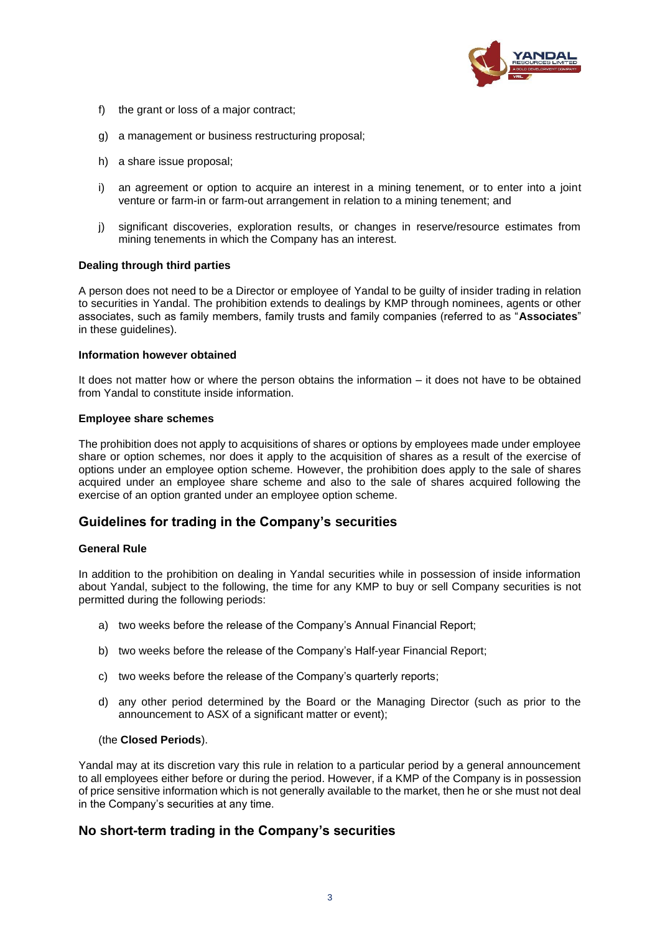

- f) the grant or loss of a major contract;
- g) a management or business restructuring proposal;
- h) a share issue proposal;
- i) an agreement or option to acquire an interest in a mining tenement, or to enter into a joint venture or farm-in or farm-out arrangement in relation to a mining tenement; and
- j) significant discoveries, exploration results, or changes in reserve/resource estimates from mining tenements in which the Company has an interest.

## **Dealing through third parties**

A person does not need to be a Director or employee of Yandal to be guilty of insider trading in relation to securities in Yandal. The prohibition extends to dealings by KMP through nominees, agents or other associates, such as family members, family trusts and family companies (referred to as "**Associates**" in these guidelines).

## **Information however obtained**

It does not matter how or where the person obtains the information – it does not have to be obtained from Yandal to constitute inside information.

## **Employee share schemes**

The prohibition does not apply to acquisitions of shares or options by employees made under employee share or option schemes, nor does it apply to the acquisition of shares as a result of the exercise of options under an employee option scheme. However, the prohibition does apply to the sale of shares acquired under an employee share scheme and also to the sale of shares acquired following the exercise of an option granted under an employee option scheme.

# **Guidelines for trading in the Company's securities**

## **General Rule**

In addition to the prohibition on dealing in Yandal securities while in possession of inside information about Yandal, subject to the following, the time for any KMP to buy or sell Company securities is not permitted during the following periods:

- a) two weeks before the release of the Company's Annual Financial Report;
- b) two weeks before the release of the Company's Half-year Financial Report;
- c) two weeks before the release of the Company's quarterly reports;
- d) any other period determined by the Board or the Managing Director (such as prior to the announcement to ASX of a significant matter or event);

## (the **Closed Periods**).

Yandal may at its discretion vary this rule in relation to a particular period by a general announcement to all employees either before or during the period. However, if a KMP of the Company is in possession of price sensitive information which is not generally available to the market, then he or she must not deal in the Company's securities at any time.

# **No short-term trading in the Company's securities**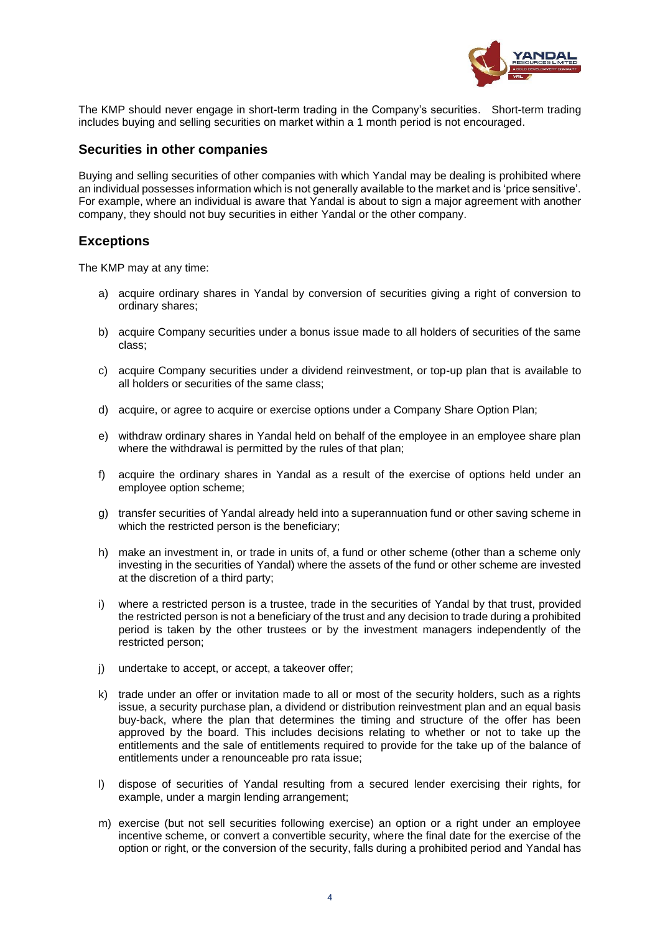

The KMP should never engage in short-term trading in the Company's securities. Short-term trading includes buying and selling securities on market within a 1 month period is not encouraged.

## **Securities in other companies**

Buying and selling securities of other companies with which Yandal may be dealing is prohibited where an individual possesses information which is not generally available to the market and is 'price sensitive'. For example, where an individual is aware that Yandal is about to sign a major agreement with another company, they should not buy securities in either Yandal or the other company.

# **Exceptions**

The KMP may at any time:

- a) acquire ordinary shares in Yandal by conversion of securities giving a right of conversion to ordinary shares;
- b) acquire Company securities under a bonus issue made to all holders of securities of the same class;
- c) acquire Company securities under a dividend reinvestment, or top-up plan that is available to all holders or securities of the same class;
- d) acquire, or agree to acquire or exercise options under a Company Share Option Plan;
- e) withdraw ordinary shares in Yandal held on behalf of the employee in an employee share plan where the withdrawal is permitted by the rules of that plan;
- f) acquire the ordinary shares in Yandal as a result of the exercise of options held under an employee option scheme;
- g) transfer securities of Yandal already held into a superannuation fund or other saving scheme in which the restricted person is the beneficiary;
- h) make an investment in, or trade in units of, a fund or other scheme (other than a scheme only investing in the securities of Yandal) where the assets of the fund or other scheme are invested at the discretion of a third party;
- i) where a restricted person is a trustee, trade in the securities of Yandal by that trust, provided the restricted person is not a beneficiary of the trust and any decision to trade during a prohibited period is taken by the other trustees or by the investment managers independently of the restricted person;
- j) undertake to accept, or accept, a takeover offer;
- k) trade under an offer or invitation made to all or most of the security holders, such as a rights issue, a security purchase plan, a dividend or distribution reinvestment plan and an equal basis buy-back, where the plan that determines the timing and structure of the offer has been approved by the board. This includes decisions relating to whether or not to take up the entitlements and the sale of entitlements required to provide for the take up of the balance of entitlements under a renounceable pro rata issue;
- l) dispose of securities of Yandal resulting from a secured lender exercising their rights, for example, under a margin lending arrangement;
- m) exercise (but not sell securities following exercise) an option or a right under an employee incentive scheme, or convert a convertible security, where the final date for the exercise of the option or right, or the conversion of the security, falls during a prohibited period and Yandal has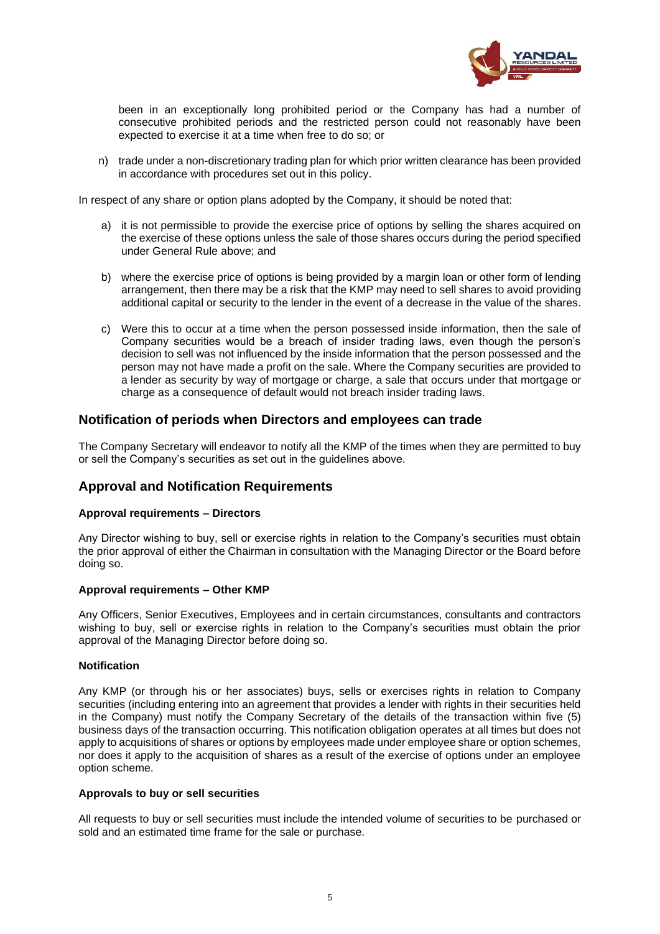

been in an exceptionally long prohibited period or the Company has had a number of consecutive prohibited periods and the restricted person could not reasonably have been expected to exercise it at a time when free to do so; or

n) trade under a non-discretionary trading plan for which prior written clearance has been provided in accordance with procedures set out in this policy.

In respect of any share or option plans adopted by the Company, it should be noted that:

- a) it is not permissible to provide the exercise price of options by selling the shares acquired on the exercise of these options unless the sale of those shares occurs during the period specified under General Rule above; and
- b) where the exercise price of options is being provided by a margin loan or other form of lending arrangement, then there may be a risk that the KMP may need to sell shares to avoid providing additional capital or security to the lender in the event of a decrease in the value of the shares.
- c) Were this to occur at a time when the person possessed inside information, then the sale of Company securities would be a breach of insider trading laws, even though the person's decision to sell was not influenced by the inside information that the person possessed and the person may not have made a profit on the sale. Where the Company securities are provided to a lender as security by way of mortgage or charge, a sale that occurs under that mortgage or charge as a consequence of default would not breach insider trading laws.

## **Notification of periods when Directors and employees can trade**

The Company Secretary will endeavor to notify all the KMP of the times when they are permitted to buy or sell the Company's securities as set out in the guidelines above.

# **Approval and Notification Requirements**

## **Approval requirements – Directors**

Any Director wishing to buy, sell or exercise rights in relation to the Company's securities must obtain the prior approval of either the Chairman in consultation with the Managing Director or the Board before doing so.

## **Approval requirements – Other KMP**

Any Officers, Senior Executives, Employees and in certain circumstances, consultants and contractors wishing to buy, sell or exercise rights in relation to the Company's securities must obtain the prior approval of the Managing Director before doing so.

## **Notification**

Any KMP (or through his or her associates) buys, sells or exercises rights in relation to Company securities (including entering into an agreement that provides a lender with rights in their securities held in the Company) must notify the Company Secretary of the details of the transaction within five (5) business days of the transaction occurring. This notification obligation operates at all times but does not apply to acquisitions of shares or options by employees made under employee share or option schemes, nor does it apply to the acquisition of shares as a result of the exercise of options under an employee option scheme.

## **Approvals to buy or sell securities**

All requests to buy or sell securities must include the intended volume of securities to be purchased or sold and an estimated time frame for the sale or purchase.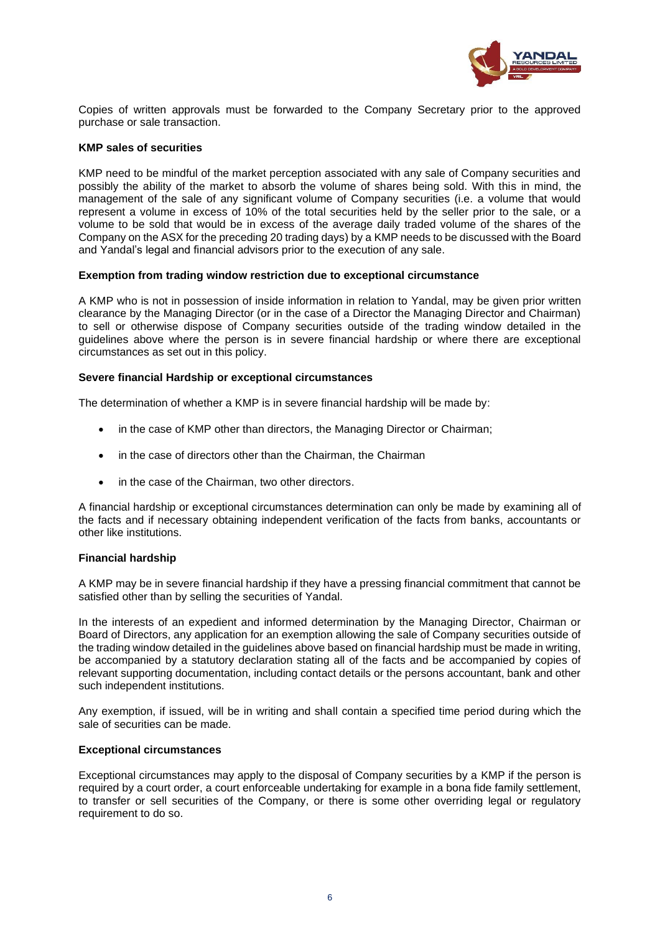

Copies of written approvals must be forwarded to the Company Secretary prior to the approved purchase or sale transaction.

#### **KMP sales of securities**

KMP need to be mindful of the market perception associated with any sale of Company securities and possibly the ability of the market to absorb the volume of shares being sold. With this in mind, the management of the sale of any significant volume of Company securities (i.e. a volume that would represent a volume in excess of 10% of the total securities held by the seller prior to the sale, or a volume to be sold that would be in excess of the average daily traded volume of the shares of the Company on the ASX for the preceding 20 trading days) by a KMP needs to be discussed with the Board and Yandal's legal and financial advisors prior to the execution of any sale.

#### **Exemption from trading window restriction due to exceptional circumstance**

A KMP who is not in possession of inside information in relation to Yandal, may be given prior written clearance by the Managing Director (or in the case of a Director the Managing Director and Chairman) to sell or otherwise dispose of Company securities outside of the trading window detailed in the guidelines above where the person is in severe financial hardship or where there are exceptional circumstances as set out in this policy.

#### **Severe financial Hardship or exceptional circumstances**

The determination of whether a KMP is in severe financial hardship will be made by:

- in the case of KMP other than directors, the Managing Director or Chairman;
- in the case of directors other than the Chairman, the Chairman
- in the case of the Chairman, two other directors.

A financial hardship or exceptional circumstances determination can only be made by examining all of the facts and if necessary obtaining independent verification of the facts from banks, accountants or other like institutions.

## **Financial hardship**

A KMP may be in severe financial hardship if they have a pressing financial commitment that cannot be satisfied other than by selling the securities of Yandal.

In the interests of an expedient and informed determination by the Managing Director, Chairman or Board of Directors, any application for an exemption allowing the sale of Company securities outside of the trading window detailed in the guidelines above based on financial hardship must be made in writing, be accompanied by a statutory declaration stating all of the facts and be accompanied by copies of relevant supporting documentation, including contact details or the persons accountant, bank and other such independent institutions.

Any exemption, if issued, will be in writing and shall contain a specified time period during which the sale of securities can be made.

#### **Exceptional circumstances**

Exceptional circumstances may apply to the disposal of Company securities by a KMP if the person is required by a court order, a court enforceable undertaking for example in a bona fide family settlement, to transfer or sell securities of the Company, or there is some other overriding legal or regulatory requirement to do so.